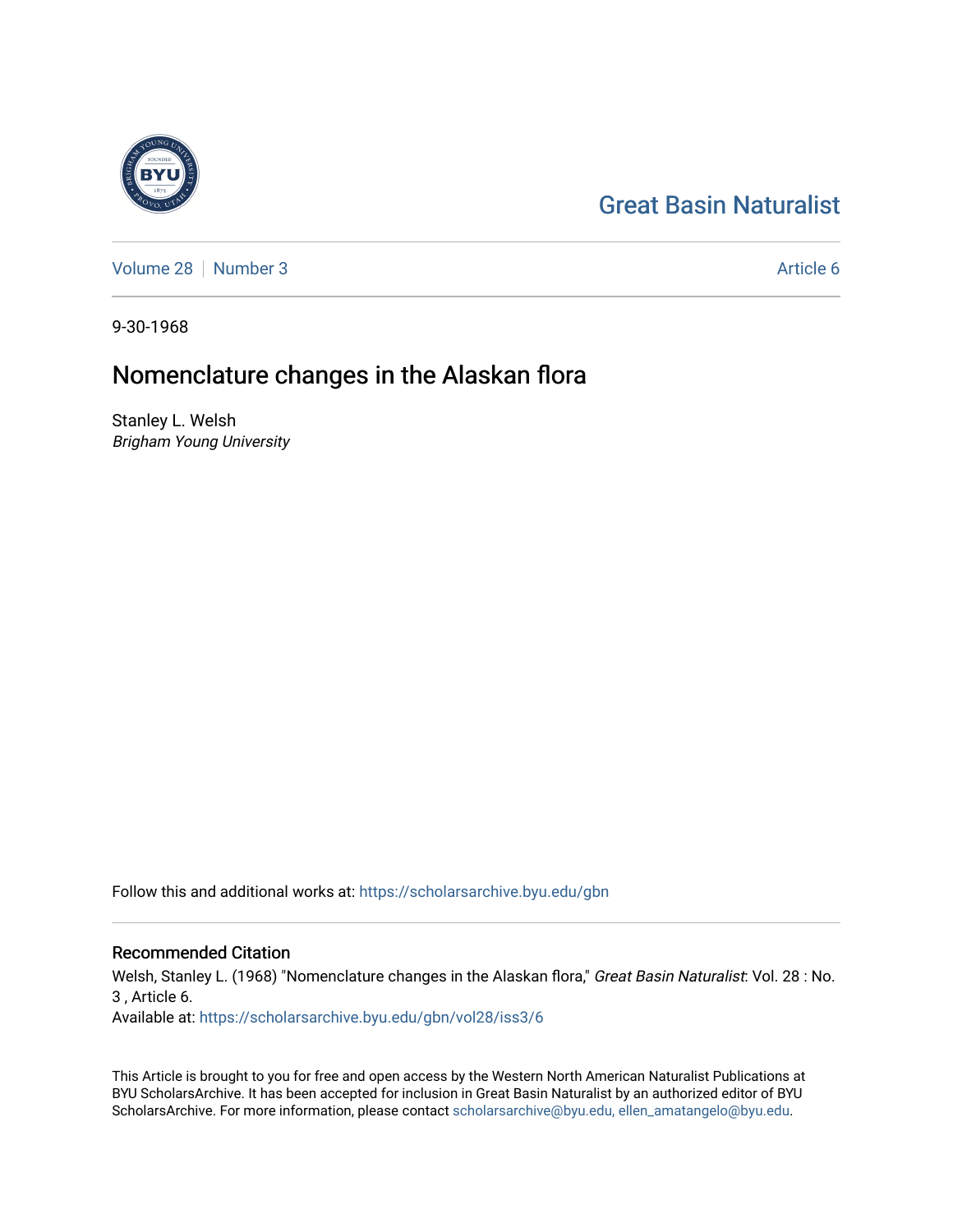# [Great Basin Naturalist](https://scholarsarchive.byu.edu/gbn)

[Volume 28](https://scholarsarchive.byu.edu/gbn/vol28) [Number 3](https://scholarsarchive.byu.edu/gbn/vol28/iss3) Article 6

9-30-1968

# Nomenclature changes in the Alaskan flora

Stanley L. Welsh Brigham Young University

Follow this and additional works at: [https://scholarsarchive.byu.edu/gbn](https://scholarsarchive.byu.edu/gbn?utm_source=scholarsarchive.byu.edu%2Fgbn%2Fvol28%2Fiss3%2F6&utm_medium=PDF&utm_campaign=PDFCoverPages) 

# Recommended Citation

Welsh, Stanley L. (1968) "Nomenclature changes in the Alaskan flora," Great Basin Naturalist: Vol. 28 : No. 3 , Article 6.

Available at: [https://scholarsarchive.byu.edu/gbn/vol28/iss3/6](https://scholarsarchive.byu.edu/gbn/vol28/iss3/6?utm_source=scholarsarchive.byu.edu%2Fgbn%2Fvol28%2Fiss3%2F6&utm_medium=PDF&utm_campaign=PDFCoverPages)

This Article is brought to you for free and open access by the Western North American Naturalist Publications at BYU ScholarsArchive. It has been accepted for inclusion in Great Basin Naturalist by an authorized editor of BYU ScholarsArchive. For more information, please contact [scholarsarchive@byu.edu, ellen\\_amatangelo@byu.edu.](mailto:scholarsarchive@byu.edu,%20ellen_amatangelo@byu.edu)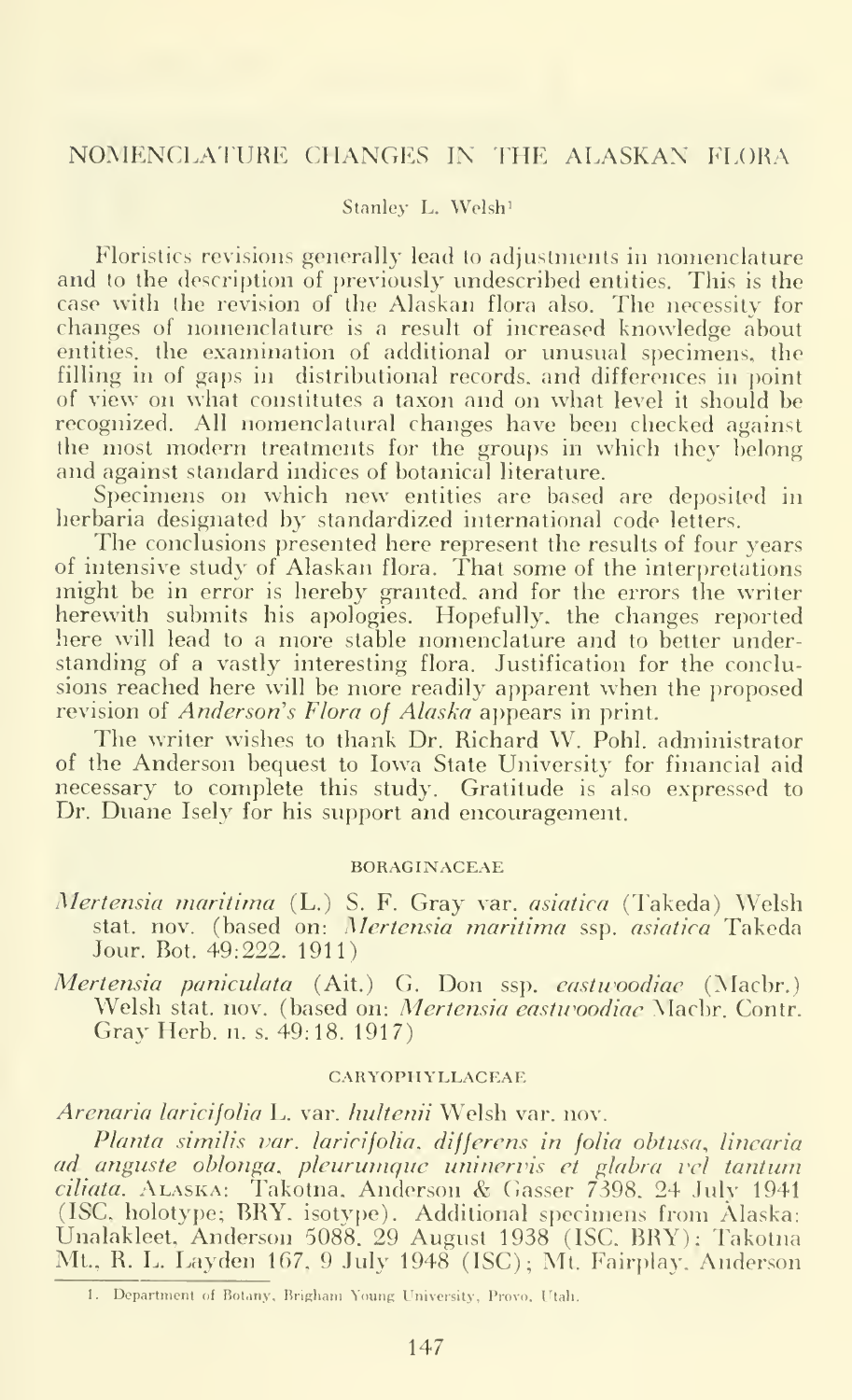### Stanley L. Welsh'

Floristics revisions generally lead to adjustments in nomenclature and to the description of previously undescribed entities. This is the case with the revision of the Alaskan flora also. The necessity for changes of nomenclature is a result of increased knowledge about entities, the examination of additional or unusual specimens, the filling in of gaps in distributional records, and differences in point of view on what constitutes a taxon and on what level it should be recognized. All nomenclatural changes have been checked against the most modern treatments for the groups in which they belong and against standard indices of botanical literature.

Specimens on which new entities are based are deposited in herbaria designated by standardized international code letters.

The conclusions presented here represent the results of four years of intensive study of Alaskan flora. That some of the interpretations might be in error is hereby granted, and for the errors the writer herewith submits his apologies. Hopefully, the changes reported here will lead to a more stable nomenclature and to better understanding of a vastly interesting flora. Justification for the conclusions reached here will be more readily apparent when the proposed revision of *Anderson's Flora of Alaska* appears in print.

The writer wishes to thank Dr. Richard W. Pohl. administrator of the Anderson bequest to Iowa State University for financial aid necessary to complete this study. Gratitude is also expressed to Dr. Duane Isely for his support and encouragement.

#### BORAGINACEAE

- Mertensia maritima (L.) S. F. Gray var. asiatica (Takeda) Welsh stat. nov. (based on: *Mertensia maritima s*sp. *asiatica* Takeda <sub>.</sub> . . Jour. Bot. 49:222. 1911)
- Mertensia paniculata (Ait.) G. Don ssp. eastwoodiae (Macbr.) Welsh stat. nov. (based on: Mertensia eastwoodiae Macbr. Contr. Gray Herb. n. s. 49:18. 1917)

#### CARYOPHYLLACEAE

Arenaria laricifolia L. var. hultenii Welsh var. nov.

Planta similis var. laricifolia, differens in folia obtusa, linearia ad anguste oblonga, pleurumque uninervis et glabra vel tantum ciliata. Alaska: Takotna. Anderson & Gasser 7398, 24 July <sup>1941</sup> (ISC, holotype; BRY. isotvpe). Additional specimens from Alaska: Unalakleet, Anderson 5088. 29 August 1938 (ISC. BRY): Takotna Mt., R. L. Layden 167, 9 July 1948 (ISC); Mt. Fairplay. Anderson

<sup>1.</sup> Department of Botany, Brigham Young University, Provo. Utah.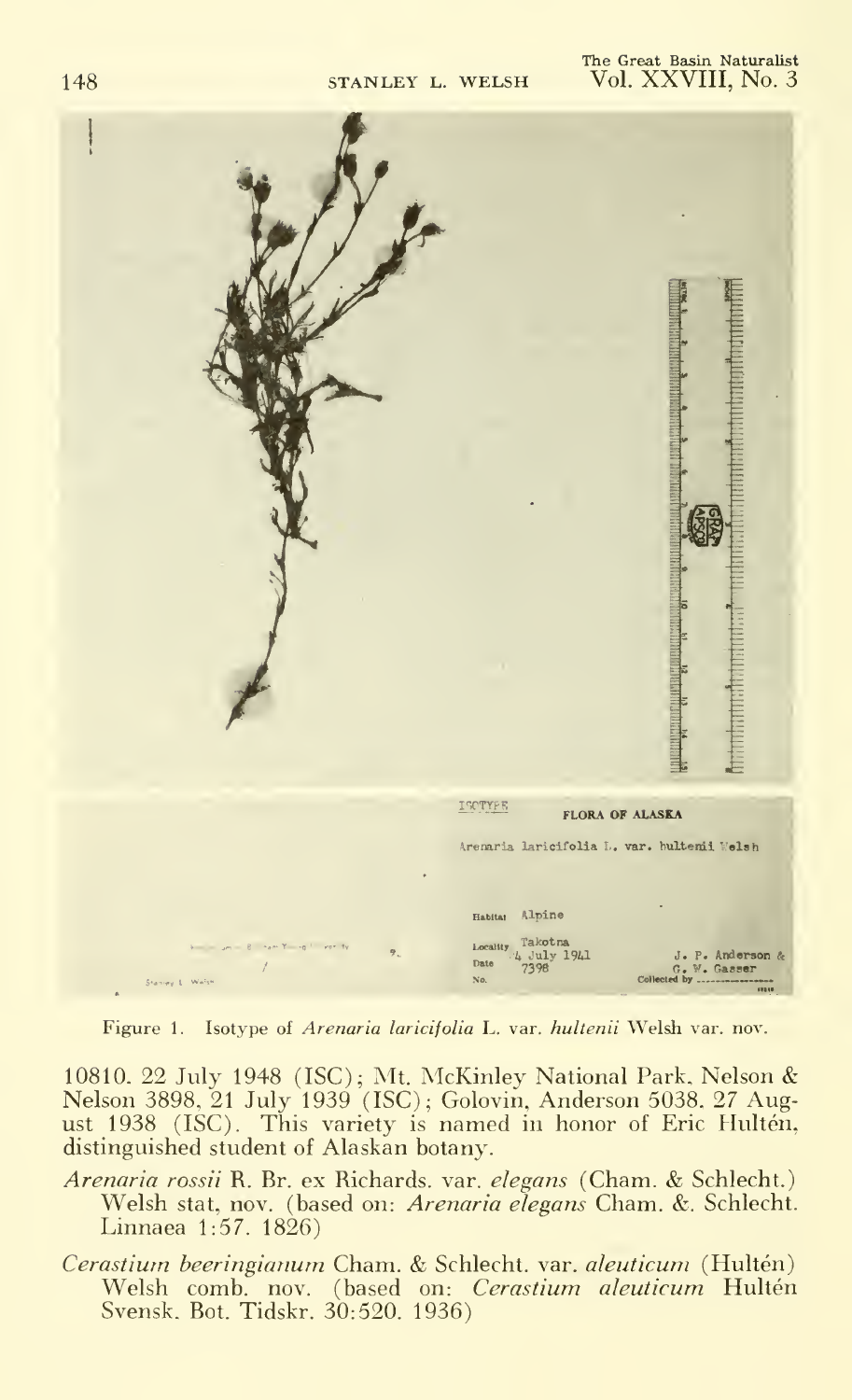

Figure 1. Isotype of Arenaria laricifolia L. var. hultenii Welsh var. nov.

10810. 22 July 1948 (ISC); Mt. McKinlev National Park, Nelson & Nelson 3898, 21 July 1939 (ISC); Golovin, Anderson 5038, 27 August 1938 (ISC). This variety is named in honor of Eric Hulten, distinguished student of Alaskan botany.

Arenaria rossii R. Br. ex Richards. var. elegans (Cham. & Schlecht.) Welsh stat, nov. (based on: Arenaria elegans Cham. &. Schlecht. Linnaea 1:57. 1826)

Cerastium beeringianum Cham. & Schlecht. var. aleuticum (Hultén) Welsh comb. nov. (based on: Cerastium aleuticum Hultén Svensk. Bot. Tidskr. 30:520. 1936)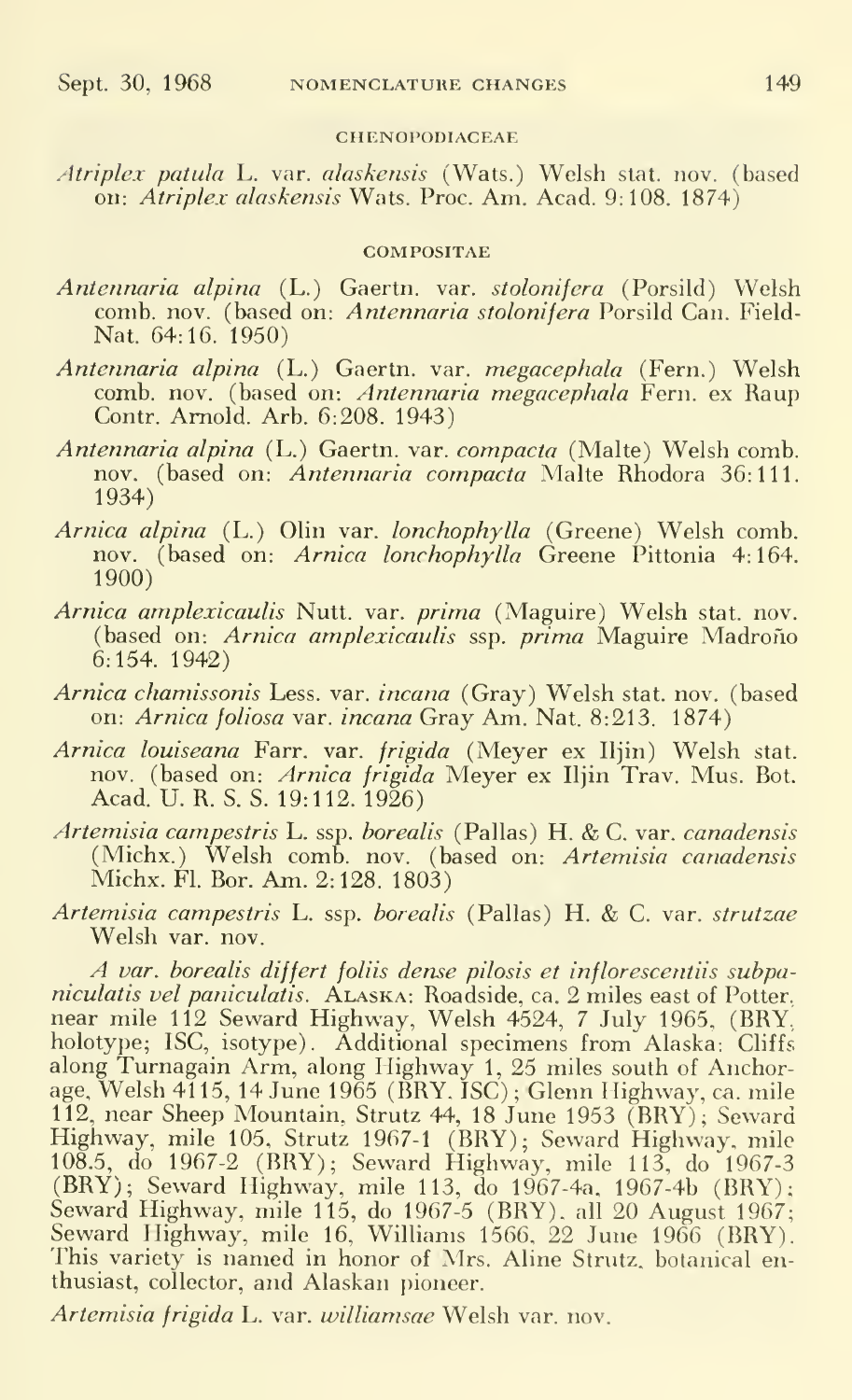#### CHENOPODIACEAE

Atriplex patula L. var. alaskensis (Wats.) Welsh stat. nov. (based on: Atriplex alaskensis Wats. Proc. Am. Acad. 9:108. 1874)

#### **COMPOSITAE**

- Antennaria alpina (L.) Gaertn. var. stolonifera (Porsild) Welsh comb. nov. (based on: Antennaria stolonifera Porsild Can. Field- Nat. 64:16. 1950)
- Antennaria alpina (L.) Gaertn. var. megacephala (Fern.) Welsh comb. nov. (based on: Antennaria megacephala Fern, ex Raup Contr. Arnold. Arb. 6:208. 1943)
- Antennaria alpina (L.) Gaertn. var. compacta (Malte) Welsh comb, nov. (based on: Antennaria compacta Malte Rhodora 36:111. 1934)
- Arnica alpina (L.) Olin var. lonchophylla (Greene) Welsh comb, nov. (based on: Arnica lonchophylla Greene Pittonia 4:164. 1900)
- Arnica amplexicaulis Nutt. var. prima (Maguire) Welsh stat. nov. (based on: Arnica amplexicaulis ssp. prima Maguire Madroño 6:154. 1942)
- Arnica chamissonis Less. var. incana (Gray) Welsh stat. nov. (based on: Arnica foliosa var. incana Gray Am. Nat. 8:213. 1874)
- Arnica louiseana Farr. var. frigida (Meyer ex Iljin) Welsh stat. nov. (based on: *Arnica frigida* Meyer ex Iljin Trav. Mus. Bot. Acad. U. R. S. S. 19:112. 1926)
- Artemisia campestris L. ssp. borealis (Pallas) H. & C. var. canadensis (Michx.) Welsh comb. nov. (based on: Artemisia canadensis Michx. Fl. Bor. Am. 2:128. 1803)
- Artemisia campestris L. ssp. borealis (Pallas) H. & C. var. strutzae Welsh var. nov.

A var. borealis differt foliis dense pilosis et inflorescentiis subpani*culatis vel paniculatis.* ALASKA: Roadside, ca. 2 miles east of Potter, near mile 112 Seward Highway, Welsh 4524, <sup>7</sup> July 1965. (BRY, holotype; ISC, isotype). Additional specimens from Alaska: Cliffs along Turnagain Arm, along Highway 1, 25 miles south of Anchorage, Welsh 4115, 14 June 1965 (BRY. ISC) ; Glenn Highway, ca. mile 112, near Sheep Mountain, Strutz 44, 18 June 1953 (BRY); Seward Highway, mile 105, Strutz 1967-1 (BRY); Seward Highway, mile 108.5, do 1967-2 (BRY); Seward Highway, mile 113, do 1967-3 (BRY); Seward Highway, mile 113, do 1967-4a, 1967-4b (BRY); Seward Highway, mile 115, do 1967-5 (BRY), all 20 August 1967; Seward Highway, mile 16, Williams 1566, 22 June 1966 (BRY). This variety is named in honor of Mrs. Aline Strutz, botanical enthusiast, collector, and Alaskan pioneer.

Artemisia frigida L. var. williamsae Welsh var. nov.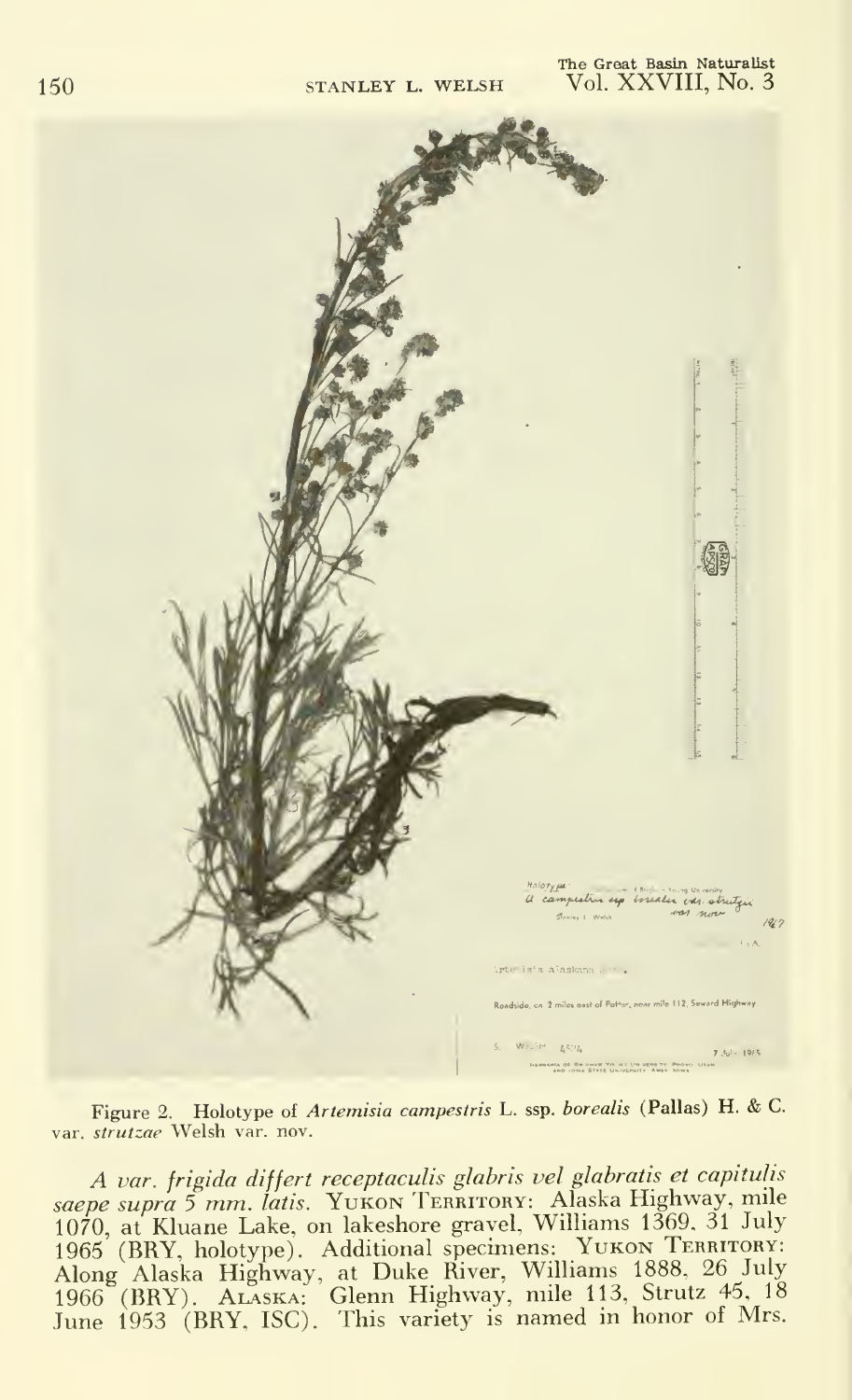#### The Great Basin Naturalist Vol. XXVIII, No. 3



Figure 2. Holotype of Artemisia campestris L. ssp. borealis (Pallas) H. & C. var. strutzae Welsh var. nov.

A var. frigida differt receptaculis glabris vel glabratis et capitulis saepe supra 5 mm. latis. Yukon TERRITORY: Alaska Highway, mile 1070, at Kluane Lake, on lakeshore gravel, Williams 1369, <sup>31</sup> July 1965 (BRY, holotype). Additional specimens: YUKON TERRITORY: Along Alaska Highway, at Duke River, Williams 1888, 26 July 1966 (BRY). Alaska: Glenn Highway, mile 113, Strutz 45, <sup>18</sup> June 1953 (BRY, ISC). This variety is named in honor of Mrs.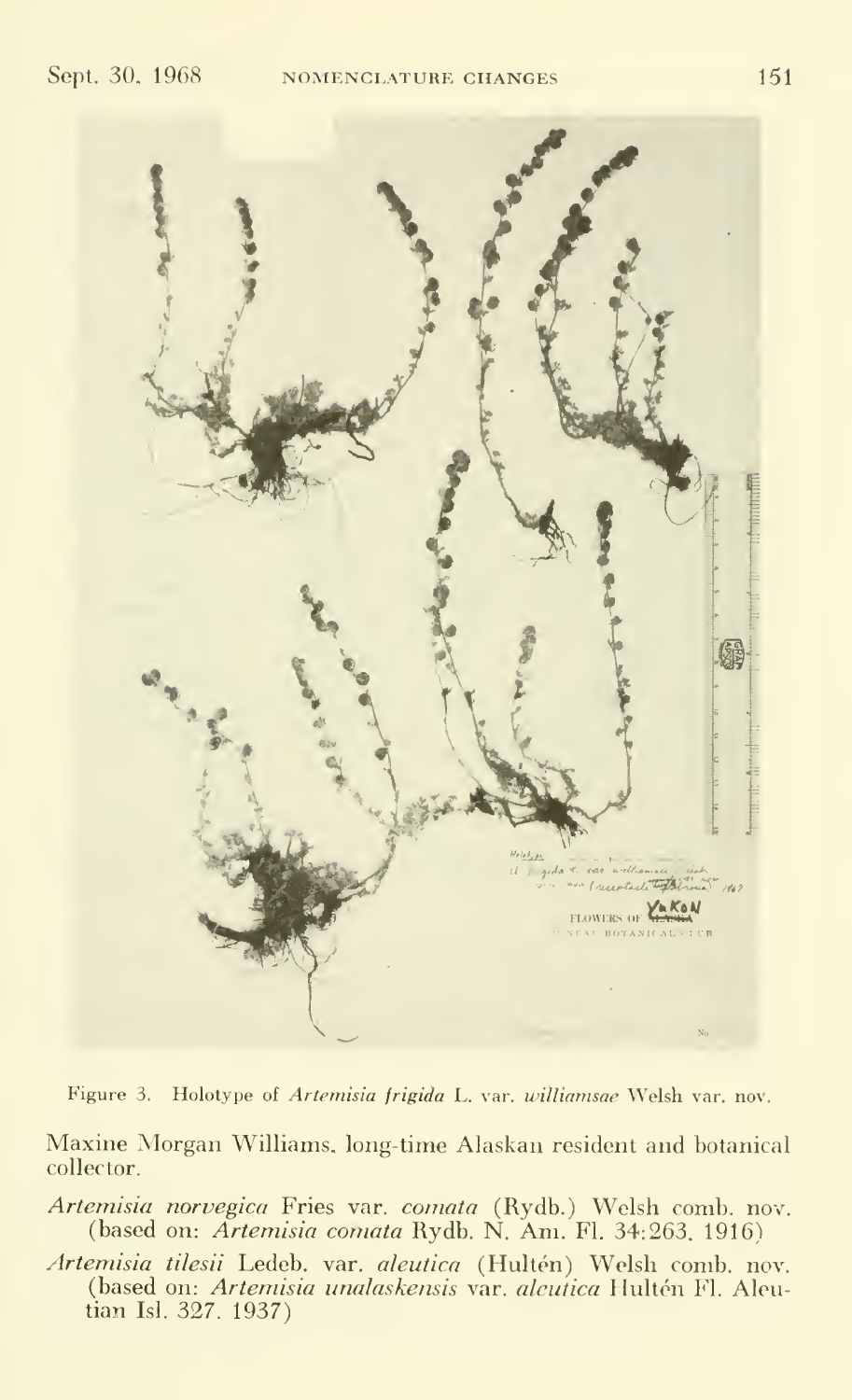

Figure 3. Holotype of *Artemisia frigida* L. var. *williamsae* Welsh var. nov.

Maxine Morgan Williams, long-time Alaskan resident and botanical collector.

Artemisia norvegica Fries var. comata (Rydb.) Welsh comb. nov. (based on: Artemisia comata Rydb. N. Am. Fl. 34:263. 1916)

*Artemisia tilesii* Ledeb. var. *aleutica* (Hultén) Welsh comb. nov. (based on: *Artemisia unalaskensis v*ar. *alcutica* Hultén Fl. Aleutian Isl. 327. 1937)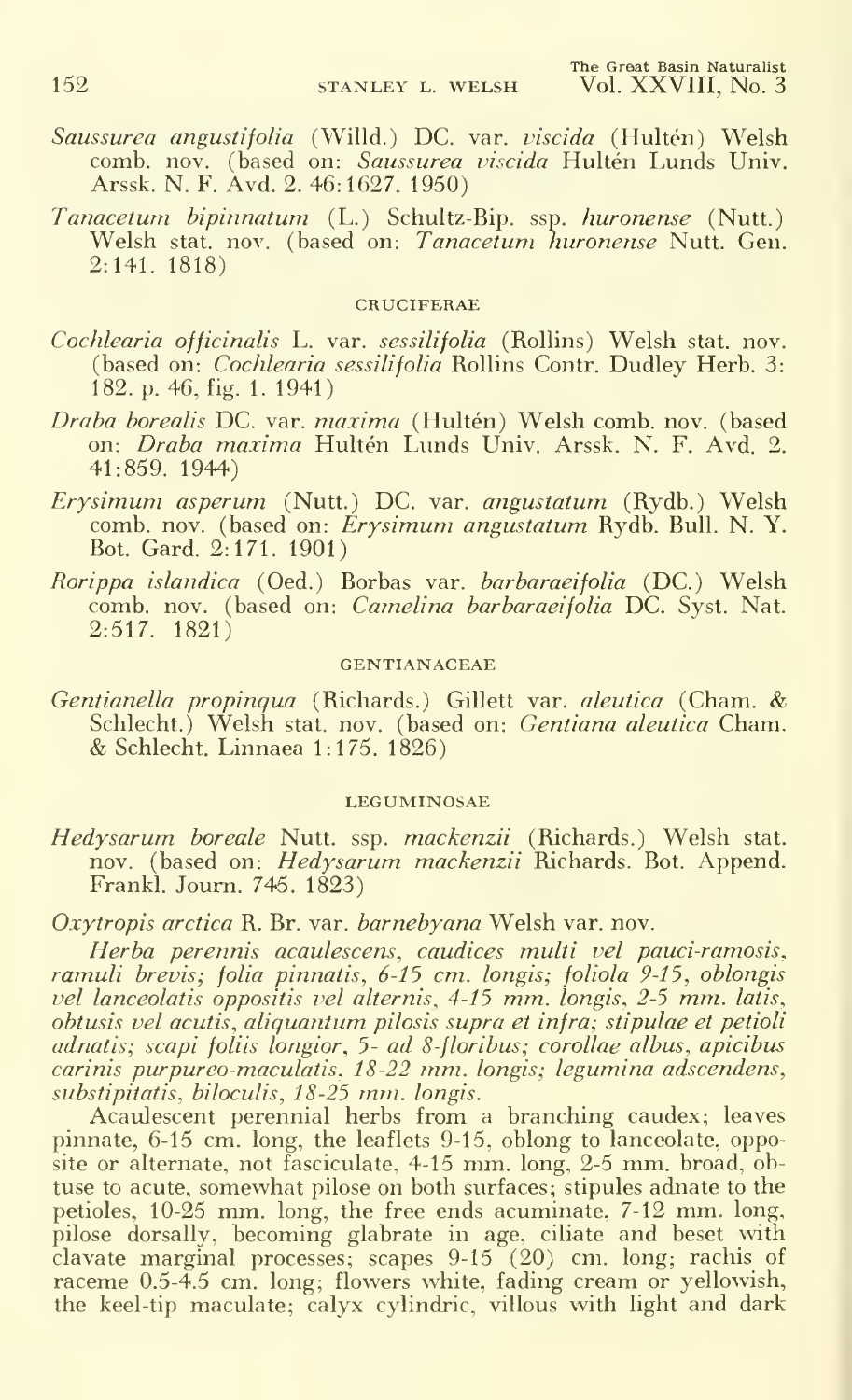- S*aussurea angustifolia* (Willd.) DC. var. *viscida* (Hultén) Welsh 1 comb. nov. (based on: *Saussurea viscida* Hultén Lunds Univ. ) | Arssk. N. F. Avd. 2. 46:1627. 1950)
- Tanacetum bipinnatum (L.) Schultz-Bip. ssp. huronense (Nutt.) Welsh stat. nov. (based on: Tanacetum huronense Nutt. Gen. 2:141. 1818)

#### CRUCIFERAE

- Cochlearia officinalis L. var. sessilifolia (Rollins) Welsh stat. nov. (based on: *Cochlearia sessilifolia* Rollins Contr. Dudley Herb. 3: 182. p. 46, fig. 1. 1941)
- Draba borealis DC. var. maxima (Hultén) Welsh comb. nov. (based on: *Draba maxima* Hultén Lunds Univ. Arssk. N. F. Avd. 2. 41:859. 1944)
- Erysimum asperum (Nutt.) DC. var. angustatum (Rydb.) Welsh comb. nov. (based on: Erysimum angustatum Rydb. Bull. N.Y. Rot. Gard. 2:171. 1901)
- Rorippa islandica (Oed.) Borbas var. barbaraeifolia (DC.) Welsh comb. nov. (based on: Camelina barbaraeifolia DC. Syst. Nat. 2:517. 1821)

#### GENTIANACEAE

Gentianella propinqua (Richards.) Gillett var. aleutica (Cham. & Schlecht.) Welsh stat. nov. (based on: Gentiana aleutica Cham. & Schlecht. Linnaea 1:175. 1826)

#### LEGUMINOSAE

*Hedysarum boreale* Nutt. ssp. *mackenzii* (Richards.) Welsh stat. I nov. (based on: *Hedysarum mackenzii* Richards. Bot. Append.  $\qquad$ Frankl. Joum. 745. 1823)

Oxytropis arctica R. Br. var. barnebyana Welsh var. nov.

Herba perennis acaulescens, caudices multi vel pauci-ramosis, ramuli brevis; folia pinnatis, 6-15 cm. longis; foliola 9-15, oblongis vel lanceolatis oppositis vel alternis, 4-15 mm. longis, 2-5 mm. latis, obtusis vel acutis, aliquantum pilosis supra et infra; stipulae et petioli adnatis; scapi foliis longior, 5- ad 8-floribus; corollae albus, apicibus carinis purpureo-maculatis., 18-22 mm. longis; legumina adscendens, substipitatis. biloculis, 18-25 mm. longis.

Acaulescent perennial herbs from a branching caudex; leaves pinnate, 6-15 cm. long, the leaflets 9-15, oblong to lanceolate, opposite or alternate, not fasciculate, 4-15 mm. long, 2-5 mm. broad, ob tuse to acute, somewhat pilose on both surfaces; stipules adnate to the petioles, 10-25 mm. long, the free ends acuminate, 7-12 mm. long, pilose dorsally, becoming glabrate in age, ciliate and beset with clavate marginal processes; scapes 9-15 (20) cm. long; rachis of raceme 0.5-4.5 cm. long; flowers white, fading cream or yellowish, the keel-tip maculate; calyx cylindric, villous with light and dark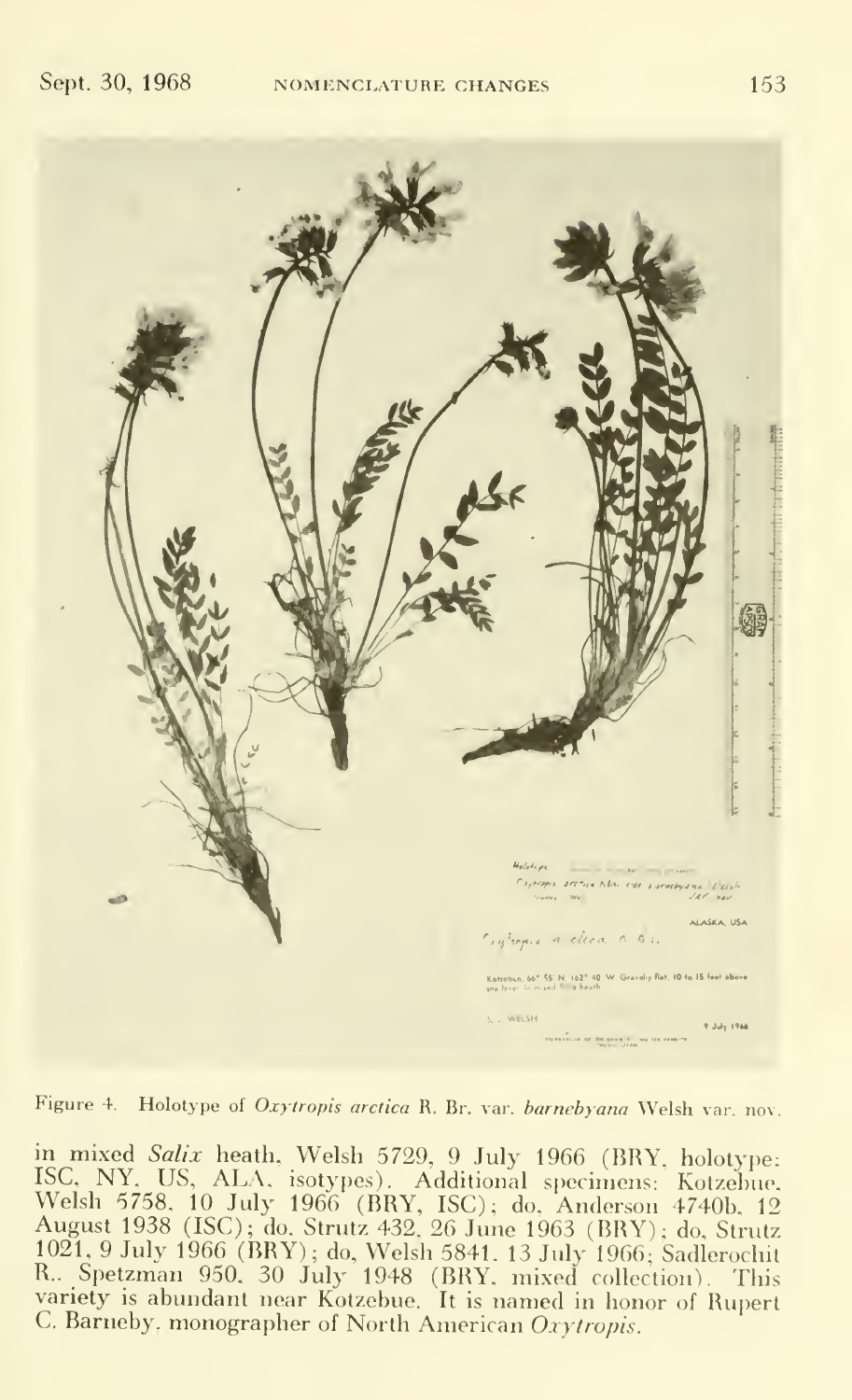

Figure 4. Holotype of Oxytropis arctica R. Br. var. barnebyana Welsh var. nov.

in mixed Salix heath, Welsh 5729, 9 July 1966 (BRY, holotype: ISC, NY. US, ALA, isotypes). Additional specimens: Kotzebue. Welsh 5758. <sup>10</sup> July 1966 (BRY, ISC); do. Anderson 4740b. <sup>12</sup> August 1938 (ISC); do. Strutz 432. 26 June 1963 (BRY); do. Strutz 1021, 9 July 1966 (BRY); do, Welsh 5841. 13 July 1966; Sadlerochit R.. Spetzman 950. 30 July 1948 (BRY, mixed collection). This variety is abundant near Kotzebue. It is named in honor of Rupert C. Barneby, monographer of North American Oxytropis.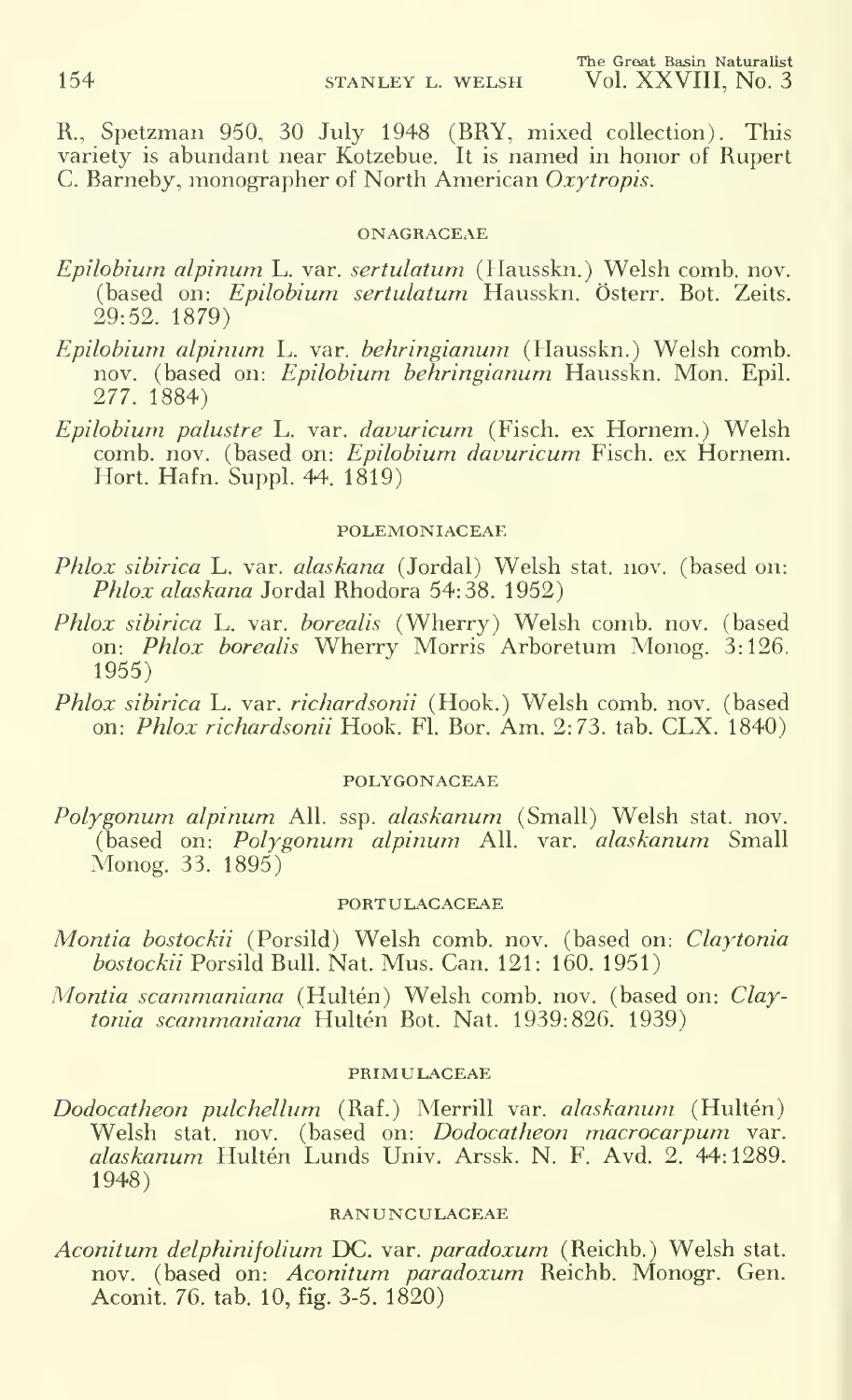R., Spetzman 950, 30 July 1948 (BRY, mixed collection). This variety is abundant near Kotzebue. It is named in honor of Rupert C. Barneby, monographer of North American Oxytropis.

#### ONAGRACEAE

- Epilobium alpinum L. var. sertulatum (Hausskn.) Welsh comb. nov. (based on: Epilobium sertulatum Hausskn. Österr. Bot. Zeits. 29:52. 1879)
- Epilobium alpinum L. var. behringianum (Hausskn.) Welsh comb, nov. (based on: Epilobium behringianum Hausskn. Mon. Epil. 277. 1884)
- Epilobium palustre L. var. davuricum (Fisch. ex Hornem.) Welsh comb. nov. (based on: Epilobium davuricum Fisch. ex Hornem. Hort. Hafn. Suppl. 44. 1819)

# POLEMONIACEAE

- Phlox sibirica L. var. alaskana (Jordal) Welsh stat. nov. (based on: Phlox alaskana Jordal Rhodora 54:38. 1952)
- *Phlox sibirica* L. var. *borealis* (Wherry) Welsh comb. nov. (based on: *Phlox borealis* Wherry Morris Arboretum Monog. 3:126. 1955)
- Phlox sibirica L. var. richardsonii (Hook.) Welsh comb. nov. (based on: Phlox richardsonii Hook. Fl. Bor. Am. 2:73. tab. CLX. 1840)

# POLYGONACEAE

Polygonum alpinum All. ssp. alaskanum (Small) Welsh stat. nov.  $(\text{based on: Polygonum" alpinum All. var. }'a$ laskanum Small Monog. 33. 1895)

#### PORTULACACEAE

- Montia bostockii (Porsild) Welsh comb. nov. (based on: Claytonia bostockii Porsild Bull. Nat. Mus. Can. 121: 160. 1951)
- *Montia scammaniana* (Hultén) Welsh comb. nov. (based on: *Claytonia scammaniana* Hultén Bot. Nat. 1939:826. 1939)

# PRIMULACEAE

Dodocatheon pulchellum (Raf.) Merrill var. alaskanum (Hultén) Welsh stat. nov. (based on: Dodocatheon macrocarpum var. alaskanum Hultén Lunds Univ. Arssk. N. F. Avd. 2. 44:1289. 1948)

### RANUNCULACEAE

Aconitum delphinifolium DC. var. paradoxum (Reichb.) Welsh stat. nov. (based on: Aconitum paradoxum Reichb. Monogr. Gen. Aconit. 76. tab. 10, fig. 3-5. 1820)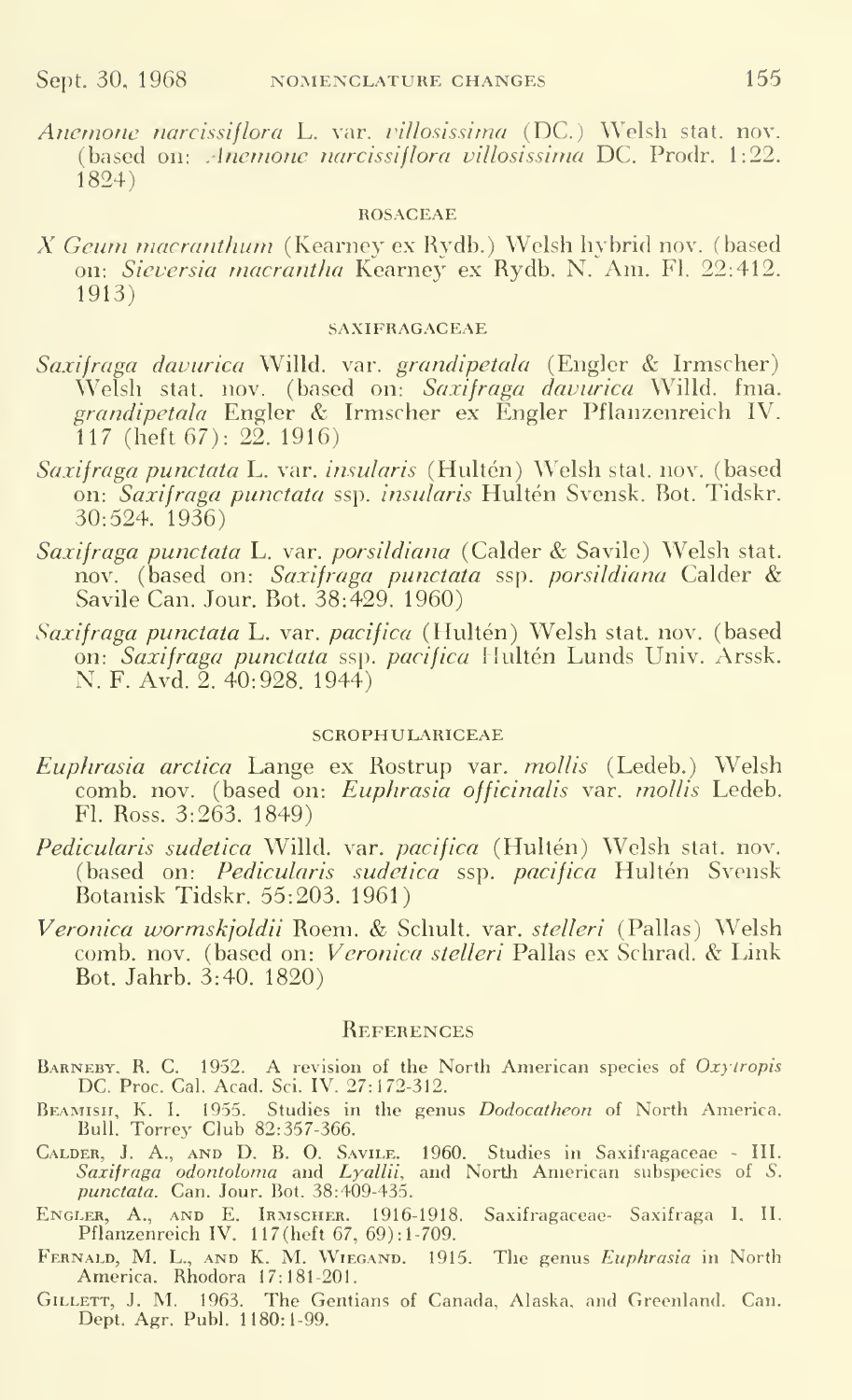Anemone narcissiflora L. var. villosissima (DC.) Welsh stat. nov. (based on: .Inemone narcissiflora villosissima DC. Prodr. 1:22. 1824)

#### ROSACEAE

X Geum macranthum (Kearney ex Rydb.) Welsh hybrid nov. (based on: Sieversia macrantha Kearney ex Rydb. N. Am. Fl. 22:412. 1913)

#### SAXIFRAGACEAE

- Saxifraga davurica Willd. var. grandipetala (Engler & Irmscher) Welsh stat. nov. (based on: *Saxifraga davurica* Willd. fma. – 1 grandipetala Engler & Irmscher ex Engler Pflanzenreich IV. 117 (heft 67): 22. 1916)
- Saxifraga punctata L. var. insularis (Hultén) Welsh stat. nov. (based on: Saxifraga punctata ssp. insularis Hultén Svensk. Bot. Tidskr. 30:524. 1936)
- Saxifraga punctata L. var. porsildiana (Calder & Savile) Welsh stat. nov. (based on: Saxifraga punctata ssp. porsildiana Calder & Savile Can. Jour. Bot. 38:429. 1960)
- Saxifraga punctata L. var. pacifica (Hultén) Welsh stat. nov. (based on: Saxifraga punctata ssp. pacifica Hultén Lunds Univ. Arssk. N. F. Avd. 2. 40:928. 1944)

#### SCROPHULARICEAE

- Euphrasia arctica Lange ex Rostrup var. mollis (Ledeb.) Welsh comb. nov. (based on: Euphrasia officinalis var. mollis Ledeb. Fl. Ross. 3:263. 1849)
- Pedicularis sudetica Willd. var. pacifica (Hultén) Welsh stat. nov. (based on: Pedicularis sudetica ssp. pacifica Hultén Svensk Botanisk Tidskr. 55:203. 1961)
- Veronica wormskjoldii Roem. & Schult. var. stelleri (Pallas) Welsh comb. nov. (based on: Veronica stelleri Pallas ex Schrad. & Link Bot. Jahrb. 3:40. 1820)

#### **REFERENCES**

- BARNEBY, R. C. 1952. A revision of the North American species of Oxytropis DC. Proc. Cal. Acad. Sci. IV. 27:172-312.
- BEAMISH, K. I. 1955. Studies in the genus *Dodocatheon* of North America. The Bull. Torrey Club 82:357-366.
- Calder, J. A., and D. B. O. Savile. 1960. Studies in Saxifragaceae III. Saxifraga odontoloma and Lyallii, and North American subspecies of S. punctata. Can. Jour. Bot. 38:409-435.
- Engler, A., and E. Irmscher. 1916-1918. Saxifragaceae- Saxifraga I, II. Pflanzenreich IV. 117(heft 67, 69): 1-709.
- FERNALD, M. L., AND K. M. WIEGAND. 1915. The genus *Euphrasia* in North America. Rhodora 17:181-201.
- Gillett, J. M. 1963. The Gentians of Canada, Alaska, and Greenland. Can. Dept. Agr. Publ. 1180:1-99.